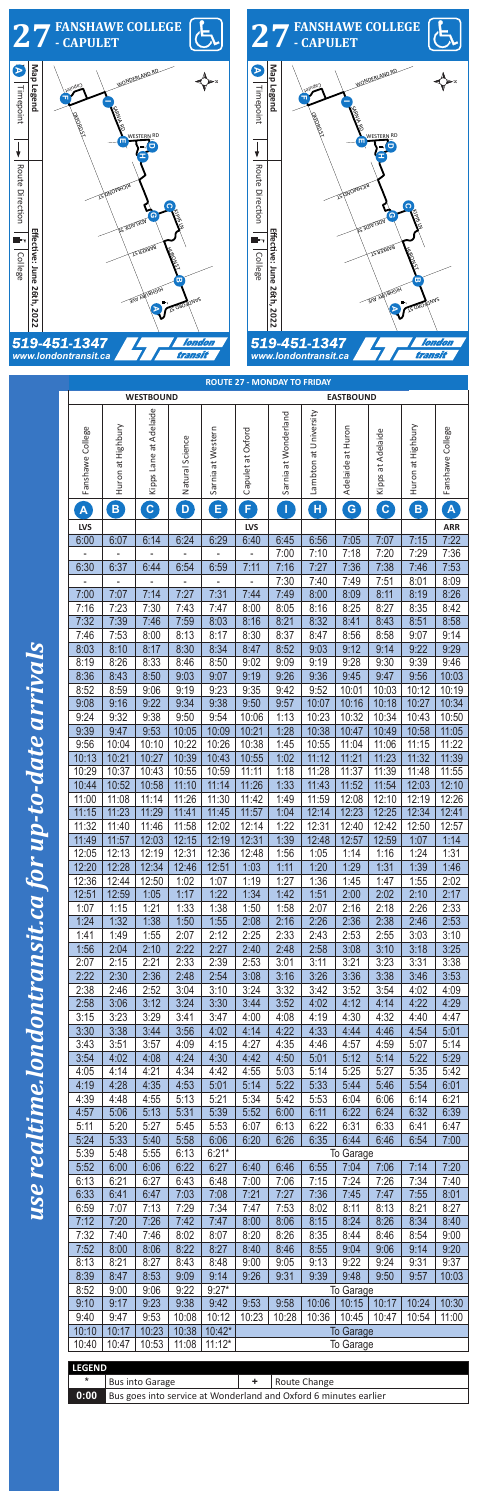

| <b>WESTBOUND</b>         |                   |                        |                 |                   | <b>EASTBOUND</b>         |                      |                       |                   |                         |                            |                  |
|--------------------------|-------------------|------------------------|-----------------|-------------------|--------------------------|----------------------|-----------------------|-------------------|-------------------------|----------------------------|------------------|
|                          |                   |                        |                 |                   |                          |                      |                       |                   |                         |                            |                  |
|                          |                   | Kipps Lane at Adelaide |                 |                   |                          | Sarnia at Wonderland | Lambton at University |                   |                         |                            |                  |
|                          |                   |                        |                 |                   |                          |                      |                       |                   |                         |                            |                  |
| Fanshawe College         | Huron at Highbury |                        | Natural Science | Sarnia at Western | Capulet at Oxford        |                      |                       | Adelaide at Huron | Kipps at Adelaide       | Huron at Highbury          | Fanshawe College |
|                          |                   |                        |                 |                   |                          |                      |                       |                   |                         |                            |                  |
|                          |                   |                        |                 |                   |                          |                      |                       |                   |                         |                            |                  |
|                          |                   |                        |                 |                   |                          |                      |                       |                   |                         |                            |                  |
|                          |                   |                        |                 |                   | F                        |                      |                       |                   |                         |                            |                  |
| $\mathbf{A}_{\parallel}$ | $\mathbf{B}$      | $\boxed{\mathbf{C}}$   | D               | $E_{\parallel}$   |                          | $\mathbf{I}$         | $\mathbf{H}$          | G                 | $\overline{\mathbf{c}}$ | $\left( \mathbf{B}\right)$ | $\mathbf{A}$     |
| <b>LVS</b>               |                   |                        |                 |                   | <b>LVS</b>               |                      |                       |                   |                         |                            | <b>ARR</b>       |
| 6:00                     | 6:07              | 6:14                   | 6:24            | 6:29              | 6:40                     | 6:45                 | 6:56                  | 7:05              | 7:07                    | 7:15                       | 7:22             |
|                          |                   |                        | $\overline{a}$  | ÷,                | $\Box$                   | 7:00                 | 7:10                  | 7:18              | 7:20                    | 7:29                       | 7:36             |
| 6:30                     | 6:37              | 6:44                   | 6:54            | 6:59              | 7:11                     | 7:16                 | 7:27                  | 7:36              | 7:38                    | 7:46                       | 7:53             |
|                          |                   |                        |                 |                   | $\overline{\phantom{0}}$ | 7:30                 | 7:40                  | 7:49              | 7:51                    | 8:01                       | 8:09             |
| 7:00                     | 7:07              | 7:14                   | 7:27            | 7:31              | 7:44                     | 7:49                 | 8:00                  | 8:09              | 8:11                    | 8:19                       | 8:26             |
| 7:16                     | 7:23              | 7:30                   | 7:43            | 7:47              | 8:00                     | 8:05                 | 8:16                  | 8:25              | 8:27                    | 8:35                       | 8:42             |
| 7:32                     | 7:39              | 7:46                   | 7:59            | 8:03              | 8:16                     | 8:21                 | 8:32                  | 8:41              | 8:43                    | 8:51                       | 8:58             |
| 7:46                     | 7:53              | 8:00                   | 8:13            | 8:17              | 8:30                     | 8:37                 | 8:47                  | 8:56              | 8:58                    | 9:07                       | 9:14             |
| 8:03                     |                   | 8:17                   |                 |                   |                          |                      | 9:03                  | 9:12              | 9:14                    | 9:22                       | 9:29             |
|                          | 8:10              |                        | 8:30            | 8:34              | 8:47                     | 8:52                 |                       |                   |                         |                            |                  |
| 8:19                     | 8:26              | 8:33                   | 8:46            | 8:50              | 9:02                     | 9:09                 | 9:19                  | 9:28              | 9:30                    | 9:39                       | 9:46             |
| 8:36                     | 8:43              | 8:50                   | 9:03            | 9:07              | 9:19                     | 9:26                 | 9:36                  | 9:45              | 9:47                    | 9:56                       | 10:03            |
| 8:52                     | 8:59              | 9:06                   | 9:19            | 9:23              | 9:35                     | 9:42                 | 9:52                  | 10:01             | 10:03                   | 10:12                      | 10:19            |
| 9:08                     | 9:16              | 9:22                   | 9:34            | 9:38              | 9:50                     | 9:57                 | 10:07                 | 10:16             | 10:18                   | 10:27                      | 10:34            |
| 9:24                     | 9:32              | 9:38                   | 9:50            | 9:54              | 10:06                    | 1:13                 | 10:23                 | 10:32             | 10:34                   | 10:43                      | 10:50            |
| 9:39                     | 9:47              | 9:53                   | 10:05           | 10:09             | 10:21                    | 1:28                 | 10:38                 | 10:47             | 10:49                   | 10:58                      | 11:05            |
| 9:56                     | 10:04             | 10:10                  | 10:22           | 10:26             | 10:38                    | 1:45                 | 10:55                 | 11:04             | 11:06                   | 11:15                      | 11:22            |
| 10:13                    | 10:21             | 10:27                  | 10:39           | 10:43             | 10:55                    | 1:02                 | 11:12                 | 11:21             | 11:23                   | 11:32                      | 11:39            |
| 10:29                    | 10:37             | 10:43                  | 10:55           | 10:59             | 11:11                    | 1:18                 | 11:28                 | 11:37             | 11:39                   | 11:48                      | 11:55            |
| 10:44                    | 10:52             | 10:58                  | 11:10           | 11:14             | 11:26                    | 1:33                 | 11:43                 | 11:52             | 11:54                   | 12:03                      | 12:10            |
| 11:00                    | 11:08             | 11:14                  | 11:26           | 11:30             | 11:42                    | 1:49                 | 11:59                 | 12:08             | 12:10                   | 12:19                      | 12:26            |
| 11:15                    | 11:23             | 11:29                  | 11:41           | 11:45             | 11:57                    | 1:04                 | 12:14                 | 12:23             | 12:25                   | 12:34                      | 12:41            |
| 11:32                    | 11:40             | 11:46                  | 11:58           | 12:02             | 12:14                    | 1:22                 | 12:31                 | 12:40             | 12:42                   | 12:50                      | 12:57            |
| 11:49                    | 11:57             | 12:03                  | 12:15           | 12:19             | 12:31                    | 1:39                 | 12:48                 | 12:57             | 12:59                   | 1:07                       | 1:14             |
| 12:05                    | 12:13             | 12:19                  | 12:31           | 12:36             | 12:48                    | 1:56                 | 1:05                  | 1:14              | 1:16                    | 1:24                       | 1:31             |
|                          |                   |                        |                 |                   |                          |                      |                       |                   |                         |                            |                  |
| 12:20                    | 12:28             | 12:34                  | 12:46           | 12:51             | 1:03                     | 1:11                 | 1:20                  | 1:29              | 1:31                    | 1:39                       | 1:46             |
| 12:36                    | 12:44             | 12:50                  | 1:02            | 1:07              | 1:19                     | 1:27                 | 1:36                  | 1:45              | 1:47                    | 1:55                       | 2:02             |
| 12:51                    | 12:59             | 1:05                   | 1:17            | 1:22              | 1:34                     | 1:42                 | 1:51                  | 2:00              | 2:02                    | 2:10                       | 2:17             |
| 1:07                     | 1:15              | 1:21                   | 1:33            | 1:38              | 1:50                     | 1:58                 | 2:07                  | 2:16              | 2:18                    | 2:26                       | 2:33             |
| 1:24                     | 1:32              | 1:38                   | 1:50            | 1:55              | 2:08                     | 2:16                 | 2:26                  | 2:36              | 2:38                    | 2:46                       | 2:53             |
| 1:41                     | 1:49              | 1:55                   | 2:07            | 2:12              | 2:25                     | 2:33                 | 2:43                  | 2:53              | 2:55                    | 3:03                       | 3:10             |
| 1:56                     | 2:04              | 2:10                   | 2:22            | 2:27              | 2:40                     | 2:48                 | 2:58                  | 3:08              | 3:10                    | 3:18                       | 3:25             |
| 2:07                     | 2:15              | 2:21                   | 2:33            | 2:39              | 2:53                     | 3:01                 | 3:11                  | 3:21              | 3:23                    | 3:31                       | 3:38             |
| 2:22                     | 2:30              | 2:36                   | 2:48            | 2:54              | 3:08                     | 3:16                 | 3:26                  | 3:36              | 3:38                    | 3:46                       | 3:53             |
| 2:38                     | 2:46              | 2:52                   | 3:04            | 3:10              | 3:24                     | 3:32                 | 3:42                  | 3:52              | 3:54                    | 4:02                       | 4:09             |
| 2:58                     | 3:06              | 3:12                   | 3:24            | 3:30              | 3:44                     | 3:52                 | 4:02                  | 4:12              | 4:14                    | 4:22                       | 4:29             |
| 3:15                     | 3:23              | 3:29                   | 3:41            | 3:47              | 4:00                     | 4:08                 | 4:19                  | 4:30              | 4:32                    | 4:40                       | 4:47             |
| 3:30                     | 3:38              | 3:44                   | 3:56            | 4:02              | 4:14                     | 4:22                 | 4:33                  | 4:44              | 4:46                    | 4:54                       | 5:01             |
| 3:43                     | 3:51              | 3:57                   | 4:09            | 4:15              | 4:27                     | 4:35                 | 4:46                  | 4:57              | 4:59                    | 5:07                       | 5:14             |
| 3:54                     | 4:02              | 4:08                   | 4:24            | 4:30              | 4:42                     | 4:50                 | 5:01                  | 5:12              | 5:14                    | 5:22                       | 5:29             |
| 4:05                     | 4:14              | 4:21                   | 4:34            | 4:42              | 4:55                     | 5:03                 | 5:14                  | 5:25              | 5:27                    | 5:35                       | 5:42             |
| 4:19                     | 4:28              | 4:35                   | 4:53            | 5:01              | 5:14                     | 5:22                 | 5:33                  | 5:44              | 5:46                    | 5:54                       | 6:01             |
| 4:39                     | 4:48              | 4:55                   | 5:13            | 5:21              | 5:34                     | 5:42                 | 5:53                  | 6:04              | 6:06                    | 6:14                       | 6:21             |
| 4:57                     | 5:06              | 5:13                   | 5:31            | 5:39              | 5:52                     | 6:00                 | 6:11                  | 6:22              | 6:24                    | 6:32                       | 6:39             |
|                          |                   |                        |                 |                   |                          |                      |                       |                   |                         |                            |                  |
| 5:11                     | 5:20              | 5:27                   | 5:45            | 5:53              | 6:07                     | 6:13                 | 6:22                  | 6:31              | 6:33                    | 6:41                       | 6:47             |
| 5:24                     | 5:33              | 5:40                   | 5:58            | 6:06              | 6:20                     | 6:26                 | 6:35                  | 6:44              | 6:46                    | 6:54                       | 7:00             |
| 5:39                     | 5:48              | 5:55                   | 6:13            | $6:21*$           |                          |                      |                       | To Garage         |                         |                            |                  |
| 5:52                     | 6:00              | 6:06                   | 6:22            | 6:27              | 6:40                     | 6:46                 | 6:55                  | 7:04              | 7:06                    | 7:14                       | 7:20             |
| 6:13                     | 6:21              | 6:27                   | 6:43            | 6:48              | 7:00                     | 7:06                 | 7:15                  | 7:24              | 7:26                    | 7:34                       | 7:40             |
| 6:33                     | 6:41              | 6:47                   | 7:03            | 7:08              | 7:21                     | 7:27                 | 7:36                  | 7:45              | 7:47                    | 7:55                       | 8:01             |
| 6:59                     | 7:07              | 7:13                   | 7:29            | 7:34              | 7:47                     | 7:53                 | 8:02                  | 8:11              | 8:13                    | 8:21                       | 8:27             |
| 7:12                     | 7:20              | 7:26                   | 7:42            | 7:47              | 8:00                     | 8:06                 | 8:15                  | 8:24              | 8:26                    | 8:34                       | 8:40             |
| 7:32                     | 7:40              | 7:46                   | 8:02            | 8:07              | 8:20                     | 8:26                 | 8:35                  | 8:44              | 8:46                    | 8:54                       | 9:00             |
| 7:52                     | 8:00              | 8:06                   | 8:22            | 8:27              | 8:40                     | 8:46                 | 8:55                  | 9:04              | 9:06                    | 9:14                       | 9:20             |
| 8:13                     | 8:21              | 8:27                   | 8:43            | 8:48              | 9:00                     | 9:05                 | 9:13                  | 9:22              | 9:24                    | 9:31                       | 9:37             |
| 8:39                     | 8:47              | 8:53                   | 9:09            | 9:14              | 9:26                     | 9:31                 | 9:39                  | 9:48              | 9:50                    | 9:57                       | 10:03            |
| 8:52                     | 9:00              | 9:06                   | 9:22            | $9:27*$           |                          |                      |                       | To Garage         |                         |                            |                  |
| 9:10                     | 9:17              | 9:23                   | 9:38            | 9:42              | 9:53                     | 9:58                 | 10:06                 | 10:15             | 10:17                   | 10:24                      | 10:30            |
| 9:40                     | 9:47              | 9:53                   | 10:08           | 10:12             | 10:23                    | 10:28                | 10:36                 | 10:45             | 10:47                   | 10:54                      | 11:00            |
| 10:10                    |                   |                        |                 | 10:42*            |                          |                      |                       |                   |                         |                            |                  |
|                          | 10:17             | 10:23                  | 10:38           |                   |                          |                      |                       | <b>To Garage</b>  |                         |                            |                  |
| 10:40                    | 10:47             | 10:53                  | 11:08           | $11:12*$          |                          |                      |                       | To Garage         |                         |                            |                  |
| <b>LEGEND</b>            |                   |                        |                 |                   |                          |                      |                       |                   |                         |                            |                  |
| *                        |                   | <b>Bus into Garage</b> |                 |                   | ٠                        |                      | Route Change          |                   |                         |                            |                  |
|                          |                   |                        |                 |                   |                          |                      |                       |                   |                         |                            |                  |

up-to-date arrivals

|  | 0:00 Bus goes into service at Wonderland and Oxford 6 minutes earlier |  |  |  |  |  |
|--|-----------------------------------------------------------------------|--|--|--|--|--|
|--|-----------------------------------------------------------------------|--|--|--|--|--|